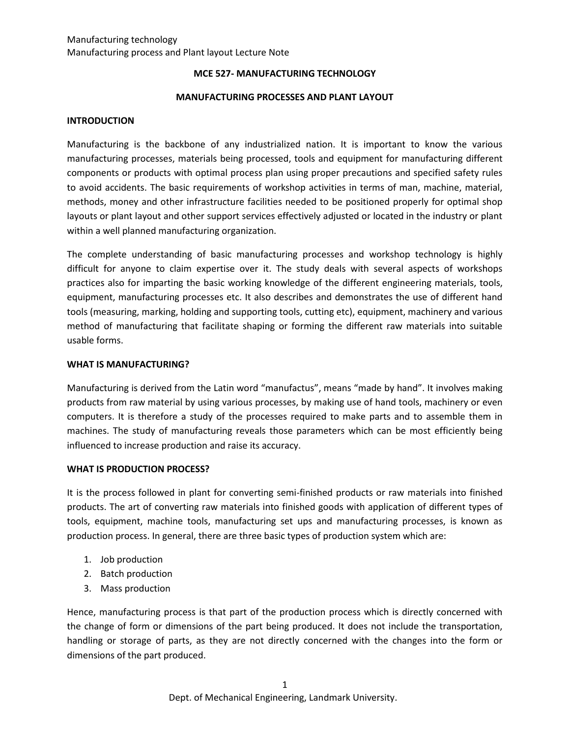### **MCE 527- MANUFACTURING TECHNOLOGY**

#### **MANUFACTURING PROCESSES AND PLANT LAYOUT**

#### **INTRODUCTION**

Manufacturing is the backbone of any industrialized nation. It is important to know the various manufacturing processes, materials being processed, tools and equipment for manufacturing different components or products with optimal process plan using proper precautions and specified safety rules to avoid accidents. The basic requirements of workshop activities in terms of man, machine, material, methods, money and other infrastructure facilities needed to be positioned properly for optimal shop layouts or plant layout and other support services effectively adjusted or located in the industry or plant within a well planned manufacturing organization.

The complete understanding of basic manufacturing processes and workshop technology is highly difficult for anyone to claim expertise over it. The study deals with several aspects of workshops practices also for imparting the basic working knowledge of the different engineering materials, tools, equipment, manufacturing processes etc. It also describes and demonstrates the use of different hand tools (measuring, marking, holding and supporting tools, cutting etc), equipment, machinery and various method of manufacturing that facilitate shaping or forming the different raw materials into suitable usable forms.

#### **WHAT IS MANUFACTURING?**

Manufacturing is derived from the Latin word "manufactus", means "made by hand". It involves making products from raw material by using various processes, by making use of hand tools, machinery or even computers. It is therefore a study of the processes required to make parts and to assemble them in machines. The study of manufacturing reveals those parameters which can be most efficiently being influenced to increase production and raise its accuracy.

### **WHAT IS PRODUCTION PROCESS?**

It is the process followed in plant for converting semi-finished products or raw materials into finished products. The art of converting raw materials into finished goods with application of different types of tools, equipment, machine tools, manufacturing set ups and manufacturing processes, is known as production process. In general, there are three basic types of production system which are:

- 1. Job production
- 2. Batch production
- 3. Mass production

Hence, manufacturing process is that part of the production process which is directly concerned with the change of form or dimensions of the part being produced. It does not include the transportation, handling or storage of parts, as they are not directly concerned with the changes into the form or dimensions of the part produced.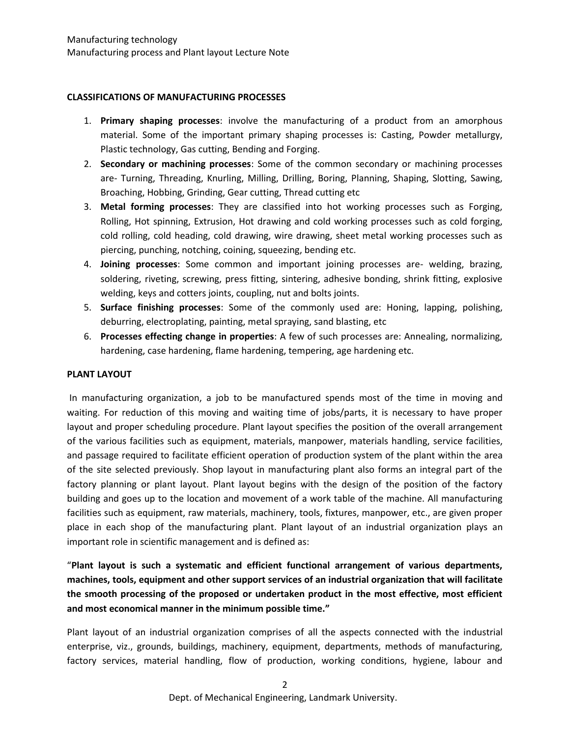### **CLASSIFICATIONS OF MANUFACTURING PROCESSES**

- 1. **Primary shaping processes**: involve the manufacturing of a product from an amorphous material. Some of the important primary shaping processes is: Casting, Powder metallurgy, Plastic technology, Gas cutting, Bending and Forging.
- 2. **Secondary or machining processes**: Some of the common secondary or machining processes are- Turning, Threading, Knurling, Milling, Drilling, Boring, Planning, Shaping, Slotting, Sawing, Broaching, Hobbing, Grinding, Gear cutting, Thread cutting etc
- 3. **Metal forming processes**: They are classified into hot working processes such as Forging, Rolling, Hot spinning, Extrusion, Hot drawing and cold working processes such as cold forging, cold rolling, cold heading, cold drawing, wire drawing, sheet metal working processes such as piercing, punching, notching, coining, squeezing, bending etc.
- 4. **Joining processes**: Some common and important joining processes are- welding, brazing, soldering, riveting, screwing, press fitting, sintering, adhesive bonding, shrink fitting, explosive welding, keys and cotters joints, coupling, nut and bolts joints.
- 5. **Surface finishing processes**: Some of the commonly used are: Honing, lapping, polishing, deburring, electroplating, painting, metal spraying, sand blasting, etc
- 6. **Processes effecting change in properties**: A few of such processes are: Annealing, normalizing, hardening, case hardening, flame hardening, tempering, age hardening etc.

### **PLANT LAYOUT**

In manufacturing organization, a job to be manufactured spends most of the time in moving and waiting. For reduction of this moving and waiting time of jobs/parts, it is necessary to have proper layout and proper scheduling procedure. Plant layout specifies the position of the overall arrangement of the various facilities such as equipment, materials, manpower, materials handling, service facilities, and passage required to facilitate efficient operation of production system of the plant within the area of the site selected previously. Shop layout in manufacturing plant also forms an integral part of the factory planning or plant layout. Plant layout begins with the design of the position of the factory building and goes up to the location and movement of a work table of the machine. All manufacturing facilities such as equipment, raw materials, machinery, tools, fixtures, manpower, etc., are given proper place in each shop of the manufacturing plant. Plant layout of an industrial organization plays an important role in scientific management and is defined as:

"**Plant layout is such a systematic and efficient functional arrangement of various departments, machines, tools, equipment and other support services of an industrial organization that will facilitate the smooth processing of the proposed or undertaken product in the most effective, most efficient and most economical manner in the minimum possible time."**

Plant layout of an industrial organization comprises of all the aspects connected with the industrial enterprise, viz., grounds, buildings, machinery, equipment, departments, methods of manufacturing, factory services, material handling, flow of production, working conditions, hygiene, labour and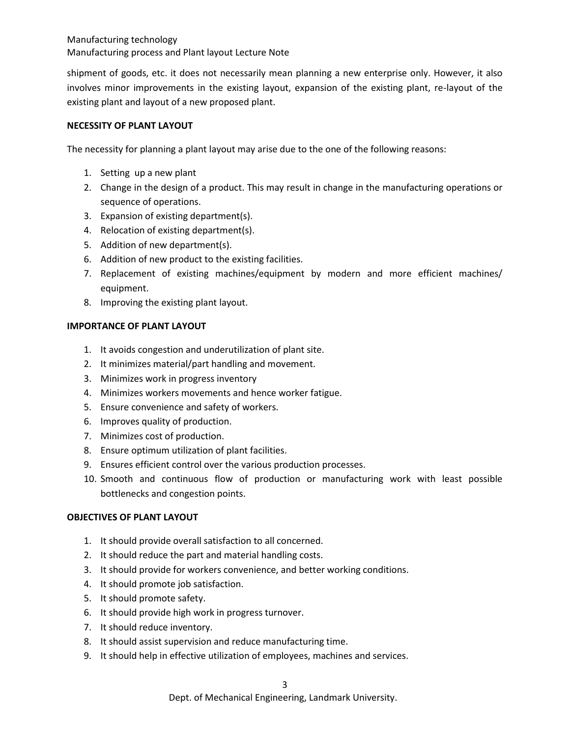shipment of goods, etc. it does not necessarily mean planning a new enterprise only. However, it also involves minor improvements in the existing layout, expansion of the existing plant, re-layout of the existing plant and layout of a new proposed plant.

### **NECESSITY OF PLANT LAYOUT**

The necessity for planning a plant layout may arise due to the one of the following reasons:

- 1. Setting up a new plant
- 2. Change in the design of a product. This may result in change in the manufacturing operations or sequence of operations.
- 3. Expansion of existing department(s).
- 4. Relocation of existing department(s).
- 5. Addition of new department(s).
- 6. Addition of new product to the existing facilities.
- 7. Replacement of existing machines/equipment by modern and more efficient machines/ equipment.
- 8. Improving the existing plant layout.

### **IMPORTANCE OF PLANT LAYOUT**

- 1. It avoids congestion and underutilization of plant site.
- 2. It minimizes material/part handling and movement.
- 3. Minimizes work in progress inventory
- 4. Minimizes workers movements and hence worker fatigue.
- 5. Ensure convenience and safety of workers.
- 6. Improves quality of production.
- 7. Minimizes cost of production.
- 8. Ensure optimum utilization of plant facilities.
- 9. Ensures efficient control over the various production processes.
- 10. Smooth and continuous flow of production or manufacturing work with least possible bottlenecks and congestion points.

### **OBJECTIVES OF PLANT LAYOUT**

- 1. It should provide overall satisfaction to all concerned.
- 2. It should reduce the part and material handling costs.
- 3. It should provide for workers convenience, and better working conditions.
- 4. It should promote job satisfaction.
- 5. It should promote safety.
- 6. It should provide high work in progress turnover.
- 7. It should reduce inventory.
- 8. It should assist supervision and reduce manufacturing time.
- 9. It should help in effective utilization of employees, machines and services.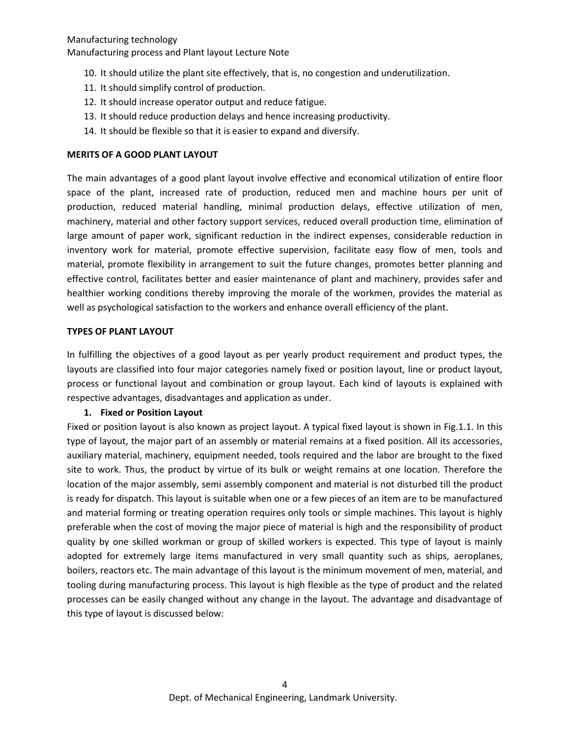Manufacturing process and Plant layout Lecture Note

- 10. It should utilize the plant site effectively, that is, no congestion and underutilization.
- 11. It should simplify control of production.
- 12. It should increase operator output and reduce fatigue.
- 13. It should reduce production delays and hence increasing productivity.
- 14. It should be flexible so that it is easier to expand and diversify.

### **MERITS OF A GOOD PLANT LAYOUT**

The main advantages of a good plant layout involve effective and economical utilization of entire floor space of the plant, increased rate of production, reduced men and machine hours per unit of production, reduced material handling, minimal production delays, effective utilization of men, machinery, material and other factory support services, reduced overall production time, elimination of large amount of paper work, significant reduction in the indirect expenses, considerable reduction in inventory work for material, promote effective supervision, facilitate easy flow of men, tools and material, promote flexibility in arrangement to suit the future changes, promotes better planning and effective control, facilitates better and easier maintenance of plant and machinery, provides safer and healthier working conditions thereby improving the morale of the workmen, provides the material as well as psychological satisfaction to the workers and enhance overall efficiency of the plant.

### **TYPES OF PLANT LAYOUT**

In fulfilling the objectives of a good layout as per yearly product requirement and product types, the layouts are classified into four major categories namely fixed or position layout, line or product layout, process or functional layout and combination or group layout. Each kind of layouts is explained with respective advantages, disadvantages and application as under.

#### **1. Fixed or Position Layout**

Fixed or position layout is also known as project layout. A typical fixed layout is shown in Fig.1.1. In this type of layout, the major part of an assembly or material remains at a fixed position. All its accessories, auxiliary material, machinery, equipment needed, tools required and the labor are brought to the fixed site to work. Thus, the product by virtue of its bulk or weight remains at one location. Therefore the location of the major assembly, semi assembly component and material is not disturbed till the product is ready for dispatch. This layout is suitable when one or a few pieces of an item are to be manufactured and material forming or treating operation requires only tools or simple machines. This layout is highly preferable when the cost of moving the major piece of material is high and the responsibility of product quality by one skilled workman or group of skilled workers is expected. This type of layout is mainly adopted for extremely large items manufactured in very small quantity such as ships, aeroplanes, boilers, reactors etc. The main advantage of this layout is the minimum movement of men, material, and tooling during manufacturing process. This layout is high flexible as the type of product and the related processes can be easily changed without any change in the layout. The advantage and disadvantage of this type of layout is discussed below: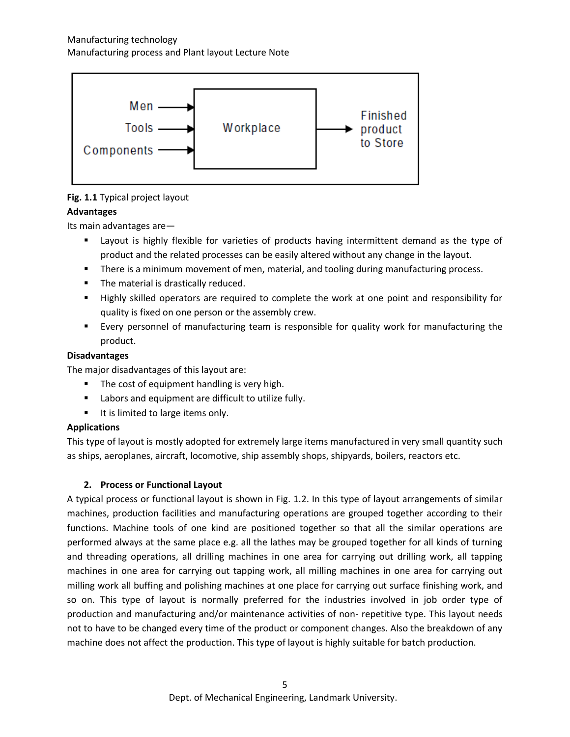

### **Fig. 1.1** Typical project layout

### **Advantages**

Its main advantages are—

- Layout is highly flexible for varieties of products having intermittent demand as the type of product and the related processes can be easily altered without any change in the layout.
- **There is a minimum movement of men, material, and tooling during manufacturing process.**
- **The material is drastically reduced.**
- Highly skilled operators are required to complete the work at one point and responsibility for quality is fixed on one person or the assembly crew.
- Every personnel of manufacturing team is responsible for quality work for manufacturing the product.

### **Disadvantages**

The major disadvantages of this layout are:

- **The cost of equipment handling is very high.**
- **EXEC** Labors and equipment are difficult to utilize fully.
- It is limited to large items only.

### **Applications**

This type of layout is mostly adopted for extremely large items manufactured in very small quantity such as ships, aeroplanes, aircraft, locomotive, ship assembly shops, shipyards, boilers, reactors etc.

### **2. Process or Functional Layout**

A typical process or functional layout is shown in Fig. 1.2. In this type of layout arrangements of similar machines, production facilities and manufacturing operations are grouped together according to their functions. Machine tools of one kind are positioned together so that all the similar operations are performed always at the same place e.g. all the lathes may be grouped together for all kinds of turning and threading operations, all drilling machines in one area for carrying out drilling work, all tapping machines in one area for carrying out tapping work, all milling machines in one area for carrying out milling work all buffing and polishing machines at one place for carrying out surface finishing work, and so on. This type of layout is normally preferred for the industries involved in job order type of production and manufacturing and/or maintenance activities of non- repetitive type. This layout needs not to have to be changed every time of the product or component changes. Also the breakdown of any machine does not affect the production. This type of layout is highly suitable for batch production.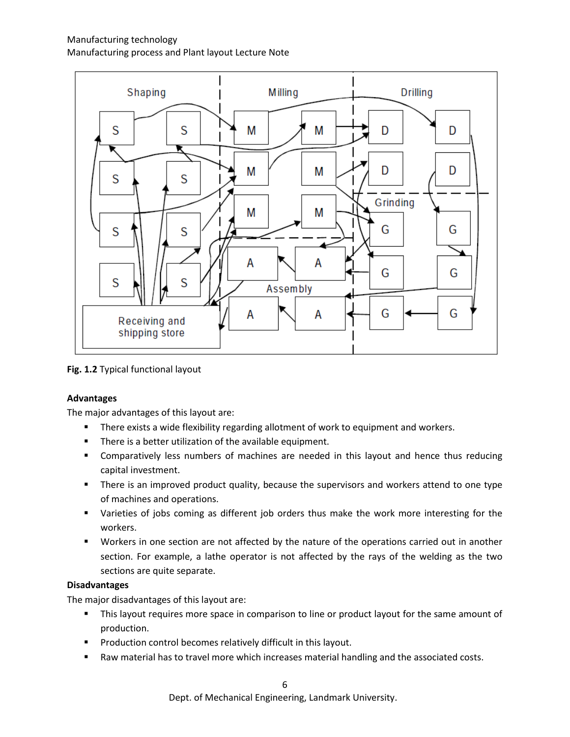

**Fig. 1.2** Typical functional layout

### **Advantages**

The major advantages of this layout are:

- **There exists a wide flexibility regarding allotment of work to equipment and workers.**
- **There is a better utilization of the available equipment.**
- **•** Comparatively less numbers of machines are needed in this layout and hence thus reducing capital investment.
- **There is an improved product quality, because the supervisors and workers attend to one type** of machines and operations.
- Varieties of jobs coming as different job orders thus make the work more interesting for the workers.
- Workers in one section are not affected by the nature of the operations carried out in another section. For example, a lathe operator is not affected by the rays of the welding as the two sections are quite separate.

### **Disadvantages**

The major disadvantages of this layout are:

- This layout requires more space in comparison to line or product layout for the same amount of production.
- **Production control becomes relatively difficult in this layout.**
- Raw material has to travel more which increases material handling and the associated costs.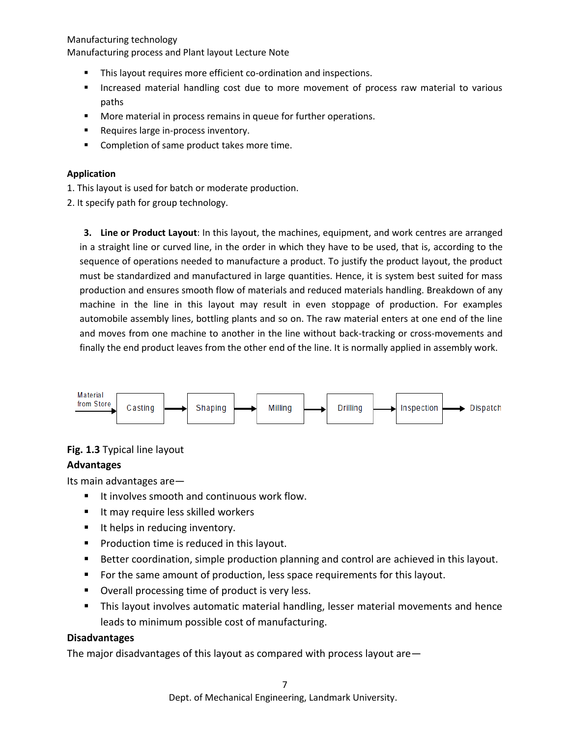Manufacturing process and Plant layout Lecture Note

- This layout requires more efficient co-ordination and inspections.
- **Increased material handling cost due to more movement of process raw material to various** paths
- **More material in process remains in queue for further operations.**
- Requires large in-process inventory.
- **Completion of same product takes more time.**

### **Application**

- 1. This layout is used for batch or moderate production.
- 2. It specify path for group technology.

**3. Line or Product Layout**: In this layout, the machines, equipment, and work centres are arranged in a straight line or curved line, in the order in which they have to be used, that is, according to the sequence of operations needed to manufacture a product. To justify the product layout, the product must be standardized and manufactured in large quantities. Hence, it is system best suited for mass production and ensures smooth flow of materials and reduced materials handling. Breakdown of any machine in the line in this layout may result in even stoppage of production. For examples automobile assembly lines, bottling plants and so on. The raw material enters at one end of the line and moves from one machine to another in the line without back-tracking or cross-movements and finally the end product leaves from the other end of the line. It is normally applied in assembly work.



# **Fig. 1.3** Typical line layout

# **Advantages**

Its main advantages are—

- It involves smooth and continuous work flow.
- It may require less skilled workers
- $\blacksquare$  It helps in reducing inventory.
- **Production time is reduced in this layout.**
- **Better coordination, simple production planning and control are achieved in this layout.**
- For the same amount of production, less space requirements for this layout.
- Overall processing time of product is very less.
- This layout involves automatic material handling, lesser material movements and hence leads to minimum possible cost of manufacturing.

### **Disadvantages**

The major disadvantages of this layout as compared with process layout are—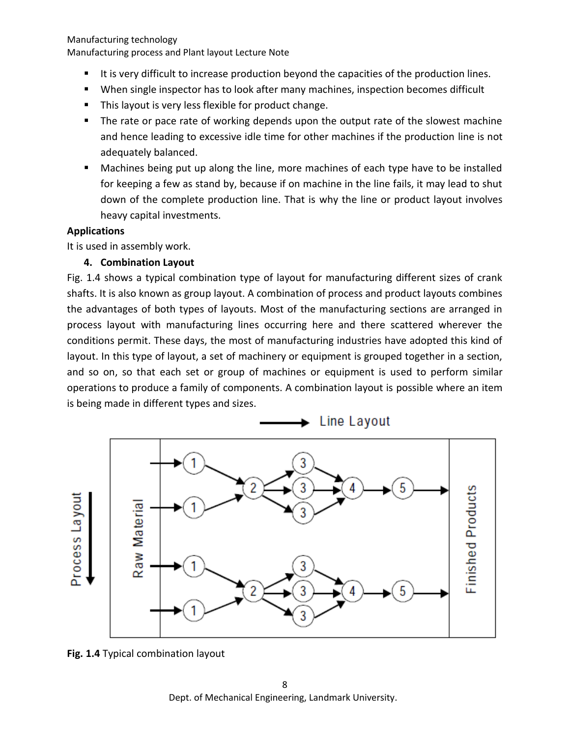Manufacturing process and Plant layout Lecture Note

- It is very difficult to increase production beyond the capacities of the production lines.
- When single inspector has to look after many machines, inspection becomes difficult
- **This layout is very less flexible for product change.**
- The rate or pace rate of working depends upon the output rate of the slowest machine and hence leading to excessive idle time for other machines if the production line is not adequately balanced.
- **Machines being put up along the line, more machines of each type have to be installed** for keeping a few as stand by, because if on machine in the line fails, it may lead to shut down of the complete production line. That is why the line or product layout involves heavy capital investments.

## **Applications**

It is used in assembly work.

# **4. Combination Layout**

Fig. 1.4 shows a typical combination type of layout for manufacturing different sizes of crank shafts. It is also known as group layout. A combination of process and product layouts combines the advantages of both types of layouts. Most of the manufacturing sections are arranged in process layout with manufacturing lines occurring here and there scattered wherever the conditions permit. These days, the most of manufacturing industries have adopted this kind of layout. In this type of layout, a set of machinery or equipment is grouped together in a section, and so on, so that each set or group of machines or equipment is used to perform similar operations to produce a family of components. A combination layout is possible where an item is being made in different types and sizes.



**Fig. 1.4** Typical combination layout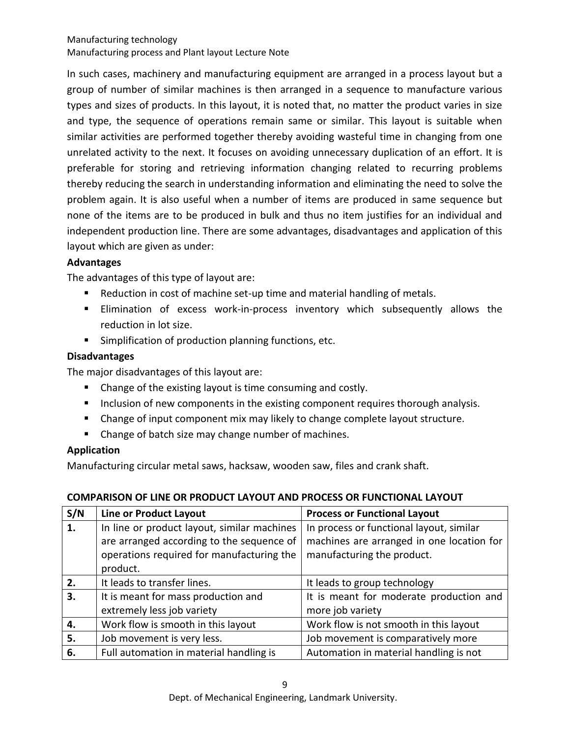In such cases, machinery and manufacturing equipment are arranged in a process layout but a group of number of similar machines is then arranged in a sequence to manufacture various types and sizes of products. In this layout, it is noted that, no matter the product varies in size and type, the sequence of operations remain same or similar. This layout is suitable when similar activities are performed together thereby avoiding wasteful time in changing from one unrelated activity to the next. It focuses on avoiding unnecessary duplication of an effort. It is preferable for storing and retrieving information changing related to recurring problems thereby reducing the search in understanding information and eliminating the need to solve the problem again. It is also useful when a number of items are produced in same sequence but none of the items are to be produced in bulk and thus no item justifies for an individual and independent production line. There are some advantages, disadvantages and application of this layout which are given as under:

## **Advantages**

The advantages of this type of layout are:

- Reduction in cost of machine set-up time and material handling of metals.
- Elimination of excess work-in-process inventory which subsequently allows the reduction in lot size.
- **Simplification of production planning functions, etc.**

## **Disadvantages**

The major disadvantages of this layout are:

- Change of the existing layout is time consuming and costly.
- **Inclusion of new components in the existing component requires thorough analysis.**
- Change of input component mix may likely to change complete layout structure.
- **EXE** Change of batch size may change number of machines.

# **Application**

Manufacturing circular metal saws, hacksaw, wooden saw, files and crank shaft.

# **COMPARISON OF LINE OR PRODUCT LAYOUT AND PROCESS OR FUNCTIONAL LAYOUT**

| S/N | <b>Line or Product Layout</b>               | <b>Process or Functional Layout</b>       |
|-----|---------------------------------------------|-------------------------------------------|
| 1.  | In line or product layout, similar machines | In process or functional layout, similar  |
|     | are arranged according to the sequence of   | machines are arranged in one location for |
|     | operations required for manufacturing the   | manufacturing the product.                |
|     | product.                                    |                                           |
| 2.  | It leads to transfer lines.                 | It leads to group technology              |
| 3.  | It is meant for mass production and         | It is meant for moderate production and   |
|     | extremely less job variety                  | more job variety                          |
| 4.  | Work flow is smooth in this layout          | Work flow is not smooth in this layout    |
| 5.  | Job movement is very less.                  | Job movement is comparatively more        |
| 6.  | Full automation in material handling is     | Automation in material handling is not    |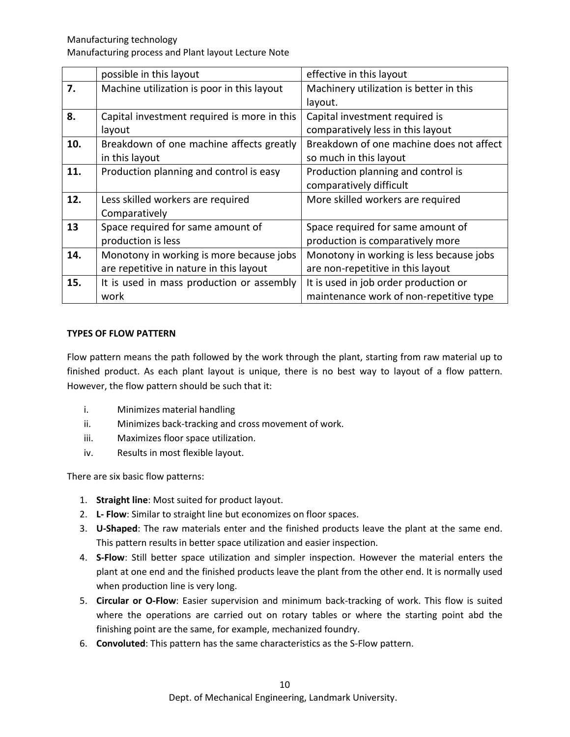|     | possible in this layout                     | effective in this layout                 |
|-----|---------------------------------------------|------------------------------------------|
| 7.  | Machine utilization is poor in this layout  | Machinery utilization is better in this  |
|     |                                             | layout.                                  |
| 8.  | Capital investment required is more in this | Capital investment required is           |
|     | layout                                      | comparatively less in this layout        |
| 10. | Breakdown of one machine affects greatly    | Breakdown of one machine does not affect |
|     | in this layout                              | so much in this layout                   |
| 11. | Production planning and control is easy     | Production planning and control is       |
|     |                                             | comparatively difficult                  |
| 12. | Less skilled workers are required           | More skilled workers are required        |
|     | Comparatively                               |                                          |
| 13  | Space required for same amount of           | Space required for same amount of        |
|     | production is less                          | production is comparatively more         |
| 14. | Monotony in working is more because jobs    | Monotony in working is less because jobs |
|     | are repetitive in nature in this layout     | are non-repetitive in this layout        |
| 15. | It is used in mass production or assembly   | It is used in job order production or    |
|     | work                                        | maintenance work of non-repetitive type  |

### **TYPES OF FLOW PATTERN**

Flow pattern means the path followed by the work through the plant, starting from raw material up to finished product. As each plant layout is unique, there is no best way to layout of a flow pattern. However, the flow pattern should be such that it:

- i. Minimizes material handling
- ii. Minimizes back-tracking and cross movement of work.
- iii. Maximizes floor space utilization.
- iv. Results in most flexible layout.

There are six basic flow patterns:

- 1. **Straight line**: Most suited for product layout.
- 2. **L- Flow**: Similar to straight line but economizes on floor spaces.
- 3. **U-Shaped**: The raw materials enter and the finished products leave the plant at the same end. This pattern results in better space utilization and easier inspection.
- 4. **S-Flow**: Still better space utilization and simpler inspection. However the material enters the plant at one end and the finished products leave the plant from the other end. It is normally used when production line is very long.
- 5. **Circular or O-Flow**: Easier supervision and minimum back-tracking of work. This flow is suited where the operations are carried out on rotary tables or where the starting point abd the finishing point are the same, for example, mechanized foundry.
- 6. **Convoluted**: This pattern has the same characteristics as the S-Flow pattern.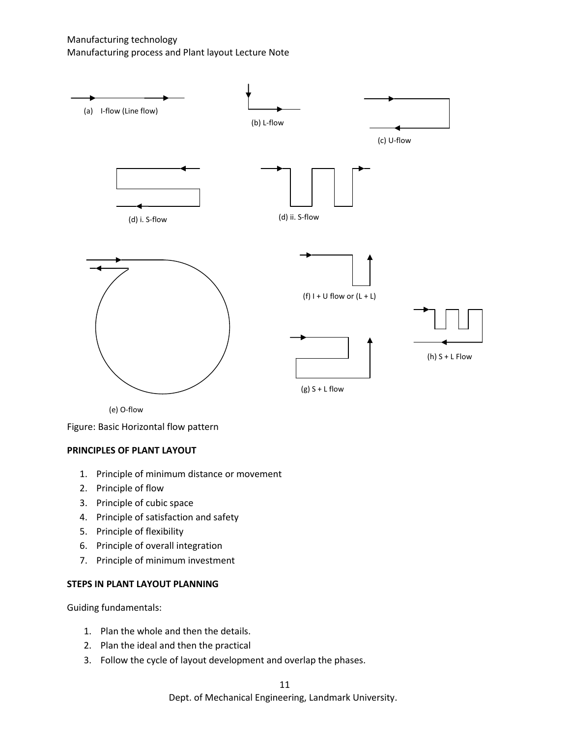Manufacturing process and Plant layout Lecture Note



Figure: Basic Horizontal flow pattern

### **PRINCIPLES OF PLANT LAYOUT**

- 1. Principle of minimum distance or movement
- 2. Principle of flow
- 3. Principle of cubic space
- 4. Principle of satisfaction and safety
- 5. Principle of flexibility
- 6. Principle of overall integration
- 7. Principle of minimum investment

### **STEPS IN PLANT LAYOUT PLANNING**

Guiding fundamentals:

- 1. Plan the whole and then the details.
- 2. Plan the ideal and then the practical
- 3. Follow the cycle of layout development and overlap the phases.

Dept. of Mechanical Engineering, Landmark University.